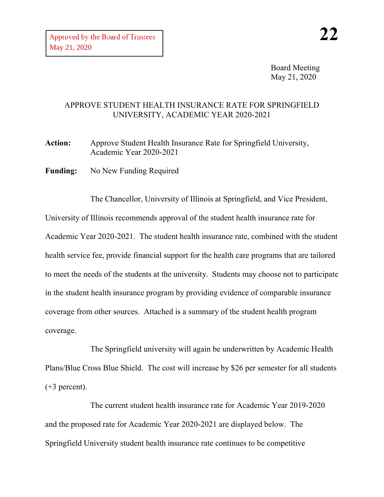Board Meeting May 21, 2020

## APPROVE STUDENT HEALTH INSURANCE RATE FOR SPRINGFIELD UNIVERSITY, ACADEMIC YEAR 2020-2021

**Action:** Approve Student Health Insurance Rate for Springfield University, Academic Year 2020-2021

**Funding:** No New Funding Required

The Chancellor, University of Illinois at Springfield, and Vice President, University of Illinois recommends approval of the student health insurance rate for Academic Year 2020-2021. The student health insurance rate, combined with the student health service fee, provide financial support for the health care programs that are tailored to meet the needs of the students at the university. Students may choose not to participate in the student health insurance program by providing evidence of comparable insurance coverage from other sources. Attached is a summary of the student health program coverage.

The Springfield university will again be underwritten by Academic Health Plans/Blue Cross Blue Shield. The cost will increase by \$26 per semester for all students  $(+3$  percent).

The current student health insurance rate for Academic Year 2019-2020 and the proposed rate for Academic Year 2020-2021 are displayed below. The Springfield University student health insurance rate continues to be competitive